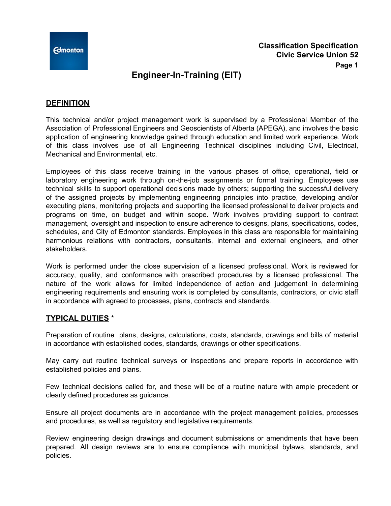

#### **DEFINITION**

This technical and/or project management work is supervised by a Professional Member of the Association of Professional Engineers and Geoscientists of Alberta (APEGA), and involves the basic application of engineering knowledge gained through education and limited work experience. Work of this class involves use of all Engineering Technical disciplines including Civil, Electrical, Mechanical and Environmental, etc.

Employees of this class receive training in the various phases of office, operational, field or laboratory engineering work through on-the-job assignments or formal training. Employees use technical skills to support operational decisions made by others; supporting the successful delivery of the assigned projects by implementing engineering principles into practice, developing and/or executing plans, monitoring projects and supporting the licensed professional to deliver projects and programs on time, on budget and within scope. Work involves providing support to contract management, oversight and inspection to ensure adherence to designs, plans, specifications, codes, schedules, and City of Edmonton standards. Employees in this class are responsible for maintaining harmonious relations with contractors, consultants, internal and external engineers, and other stakeholders.

Work is performed under the close supervision of a licensed professional. Work is reviewed for accuracy, quality, and conformance with prescribed procedures by a licensed professional. The nature of the work allows for limited independence of action and judgement in determining engineering requirements and ensuring work is completed by consultants, contractors, or civic staff in accordance with agreed to processes, plans, contracts and standards.

#### **TYPICAL DUTIES** \*

Preparation of routine plans, designs, calculations, costs, standards, drawings and bills of material in accordance with established codes, standards, drawings or other specifications.

May carry out routine technical surveys or inspections and prepare reports in accordance with established policies and plans.

Few technical decisions called for, and these will be of a routine nature with ample precedent or clearly defined procedures as guidance.

Ensure all project documents are in accordance with the project management policies, processes and procedures, as well as regulatory and legislative requirements.

Review engineering design drawings and document submissions or amendments that have been prepared. All design reviews are to ensure compliance with municipal bylaws, standards, and policies.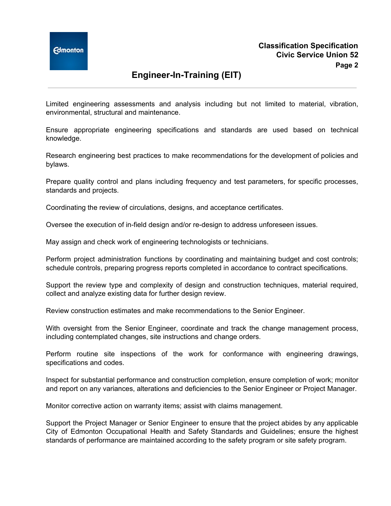Limited engineering assessments and analysis including but not limited to material, vibration, environmental, structural and maintenance.

Ensure appropriate engineering specifications and standards are used based on technical knowledge.

Research engineering best practices to make recommendations for the development of policies and bylaws.

Prepare quality control and plans including frequency and test parameters, for specific processes, standards and projects.

Coordinating the review of circulations, designs, and acceptance certificates.

Oversee the execution of in-field design and/or re-design to address unforeseen issues.

May assign and check work of engineering technologists or technicians.

Perform project administration functions by coordinating and maintaining budget and cost controls; schedule controls, preparing progress reports completed in accordance to contract specifications.

Support the review type and complexity of design and construction techniques, material required, collect and analyze existing data for further design review.

Review construction estimates and make recommendations to the Senior Engineer.

With oversight from the Senior Engineer, coordinate and track the change management process, including contemplated changes, site instructions and change orders.

Perform routine site inspections of the work for conformance with engineering drawings, specifications and codes.

Inspect for substantial performance and construction completion, ensure completion of work; monitor and report on any variances, alterations and deficiencies to the Senior Engineer or Project Manager.

Monitor corrective action on warranty items; assist with claims management.

Support the Project Manager or Senior Engineer to ensure that the project abides by any applicable City of Edmonton Occupational Health and Safety Standards and Guidelines; ensure the highest standards of performance are maintained according to the safety program or site safety program.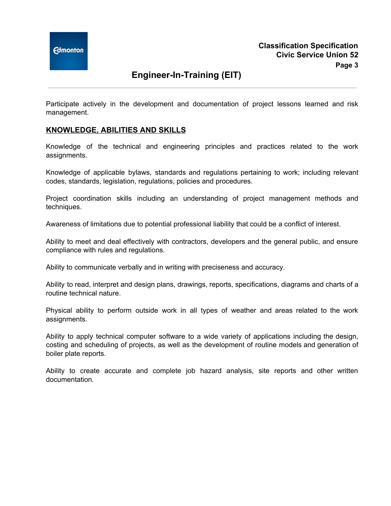Participate actively in the development and documentation of project lessons learned and risk management.

#### **KNOWLEDGE, ABILITIES AND SKILLS**

Knowledge of the technical and engineering principles and practices related to the work assignments.

Knowledge of applicable bylaws, standards and regulations pertaining to work; including relevant codes, standards, legislation, regulations, policies and procedures.

Project coordination skills including an understanding of project management methods and techniques.

Awareness of limitations due to potential professional liability that could be a conflict of interest.

Ability to meet and deal effectively with contractors, developers and the general public, and ensure compliance with rules and regulations.

Ability to communicate verbally and in writing with preciseness and accuracy.

Ability to read, interpret and design plans, drawings, reports, specifications, diagrams and charts of a routine technical nature.

Physical ability to perform outside work in all types of weather and areas related to the work assignments.

Ability to apply technical computer software to a wide variety of applications including the design, costing and scheduling of projects, as well as the development of routine models and generation of boiler plate reports.

Ability to create accurate and complete job hazard analysis, site reports and other written documentation.